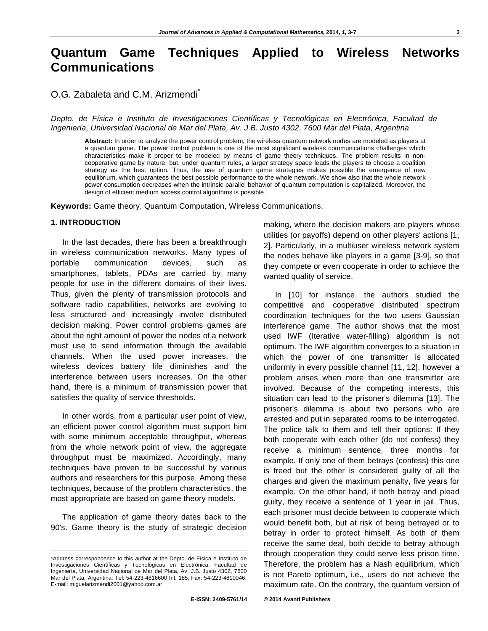# **Quantum Game Techniques Applied to Wireless Networks Communications**

## O.G. Zabaleta and C.M. Arizmendi<sup>\*</sup>

*Depto. de Física e Instituto de Investigaciones Científicas y Tecnológicas en Electrónica, Facultad de Ingeniería, Universidad Nacional de Mar del Plata, Av. J.B. Justo 4302, 7600 Mar del Plata, Argentina* 

**Abstract:** In order to analyze the power control problem, the wireless quantum network nodes are modeled as players at a quantum game. The power control problem is one of the most significant wireless communications challenges which characteristics make it proper to be modeled by means of game theory techniques. The problem results in noncooperative game by nature, but, under quantum rules, a larger strategy space leads the players to choose a coalition strategy as the best option. Thus, the use of quantum game strategies makes possible the emergence of new equilibrium, which guarantees the best possible performance to the whole network. We show also that the whole network power consumption decreases when the intrinsic parallel behavior of quantum computation is capitalized. Moreover, the design of efficient medium access control algorithms is possible.

**Keywords:** Game theory, Quantum Computation, Wireless Communications.

#### **1. INTRODUCTION**

In the last decades, there has been a breakthrough in wireless communication networks. Many types of portable communication devices, such as smartphones, tablets, PDAs are carried by many people for use in the different domains of their lives. Thus, given the plenty of transmission protocols and software radio capabilities, networks are evolving to less structured and increasingly involve distributed decision making. Power control problems games are about the right amount of power the nodes of a network must use to send information through the available channels. When the used power increases, the wireless devices battery life diminishes and the interference between users increases. On the other hand, there is a minimum of transmission power that satisfies the quality of service thresholds.

In other words, from a particular user point of view, an efficient power control algorithm must support him with some minimum acceptable throughput, whereas from the whole network point of view, the aggregate throughput must be maximized. Accordingly, many techniques have proven to be successful by various authors and researchers for this purpose. Among these techniques, because of the problem characteristics, the most appropriate are based on game theory models.

The application of game theory dates back to the 90's. Game theory is the study of strategic decision making, where the decision makers are players whose utilities (or payoffs) depend on other players' actions [1, 2]. Particularly, in a multiuser wireless network system the nodes behave like players in a game [3-9], so that they compete or even cooperate in order to achieve the wanted quality of service.

In [10] for instance, the authors studied the competitive and cooperative distributed spectrum coordination techniques for the two users Gaussian interference game. The author shows that the most used IWF (Iterative water-filling) algorithm is not optimum. The IWF algorithm converges to a situation in which the power of one transmitter is allocated uniformly in every possible channel [11, 12], however a problem arises when more than one transmitter are involved. Because of the competing interests, this situation can lead to the prisoner's dilemma [13]. The prisoner's dilemma is about two persons who are arrested and put in separated rooms to be interrogated. The police talk to them and tell their options: If they both cooperate with each other (do not confess) they receive a minimum sentence, three months for example. If only one of them betrays (confess) this one is freed but the other is considered guilty of all the charges and given the maximum penalty, five years for example. On the other hand, if both betray and plead guilty, they receive a sentence of 1 year in jail. Thus, each prisoner must decide between to cooperate which would benefit both, but at risk of being betrayed or to betray in order to protect himself. As both of them receive the same deal, both decide to betray although through cooperation they could serve less prison time. Therefore, the problem has a Nash equilibrium, which is not Pareto optimum, i.e., users do not achieve the maximum rate. On the contrary, the quantum version of

<sup>\*</sup>Address correspondence to this author at the Depto. de Física e Instituto de Investigaciones Científicas y Tecnológicas en Electrónica, Facultad de Ingeniería, Universidad Nacional de Mar del Plata, Av. J.B. Justo 4302, 7600 Mar del Plata, Argentina; Tel: 54-223-4816600 Int. 185; Fax: 54-223-4810046; E-mail: miguelarizmendi2001@yahoo.com.ar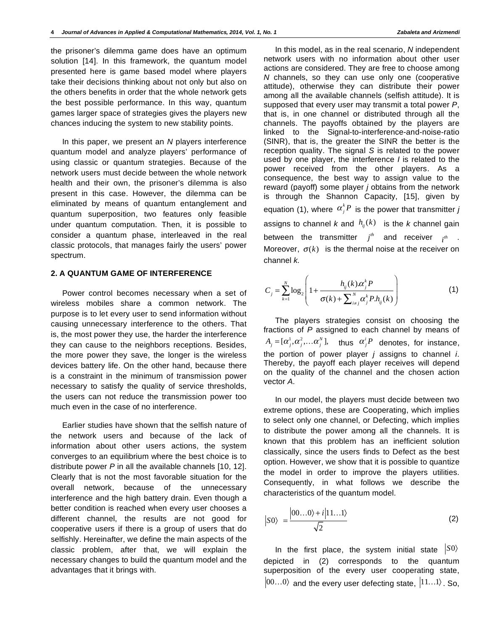the prisoner's dilemma game does have an optimum solution [14]. In this framework, the quantum model presented here is game based model where players take their decisions thinking about not only but also on the others benefits in order that the whole network gets the best possible performance. In this way, quantum games larger space of strategies gives the players new chances inducing the system to new stability points.

In this paper, we present an *N* players interference quantum model and analyze players' performance of using classic or quantum strategies. Because of the network users must decide between the whole network health and their own, the prisoner's dilemma is also present in this case. However, the dilemma can be eliminated by means of quantum entanglement and quantum superposition, two features only feasible under quantum computation. Then, it is possible to consider a quantum phase, interleaved in the real classic protocols, that manages fairly the users' power spectrum.

### **2. A QUANTUM GAME OF INTERFERENCE**

Power control becomes necessary when a set of wireless mobiles share a common network. The purpose is to let every user to send information without causing unnecessary interference to the others. That is, the most power they use, the harder the interference they can cause to the neighbors receptions. Besides, the more power they save, the longer is the wireless devices battery life. On the other hand, because there is a constraint in the minimum of transmission power necessary to satisfy the quality of service thresholds, the users can not reduce the transmission power too much even in the case of no interference.

Earlier studies have shown that the selfish nature of the network users and because of the lack of information about other users actions, the system converges to an equilibrium where the best choice is to distribute power *P* in all the available channels [10, 12]. Clearly that is not the most favorable situation for the overall network, because of the unnecessary interference and the high battery drain. Even though a better condition is reached when every user chooses a different channel, the results are not good for cooperative users if there is a group of users that do selfishly. Hereinafter, we define the main aspects of the classic problem, after that, we will explain the necessary changes to build the quantum model and the advantages that it brings with.

In this model, as in the real scenario, *N* independent network users with no information about other user actions are considered. They are free to choose among *N* channels, so they can use only one (cooperative attitude), otherwise they can distribute their power among all the available channels (selfish attitude). It is supposed that every user may transmit a total power *P*, that is, in one channel or distributed through all the channels. The payoffs obtained by the players are linked to the Signal-to-interference-and-noise-ratio (SINR), that is, the greater the SINR the better is the reception quality. The signal *S* is related to the power used by one player, the interference *I* is related to the power received from the other players. As a consequence, the best way to assign value to the reward (payoff) some player *j* obtains from the network is through the Shannon Capacity, [15], given by equation (1), where  $\alpha^k_j P$  is the power that transmitter *j* assigns to channel *k* and  $h_{ij}(k)$  is the *k* channel gain between the transmitter  $j^{th}$  and receiver  $i^{th}$  . Moreover,  $\sigma(k)$  is the thermal noise at the receiver on channel *k.* 

$$
C_j = \sum_{k=1}^{N} \log_2 \left( 1 + \frac{h_{ij}(k)\alpha_j^k P}{\sigma(k) + \sum_{i \neq j}^{N} \alpha_j^k P.h_{ij}(k)} \right) \tag{1}
$$

The players strategies consist on choosing the fractions of *P* assigned to each channel by means of  $A_j = [\alpha_j^1, \alpha_j^2, \ldots \alpha_j^N]$ , thus  $\alpha_j^i P$  denotes, for instance, the portion of power player *j* assigns to channel *i*. Thereby, the payoff each player receives will depend on the quality of the channel and the chosen action vector *A*.

In our model, the players must decide between two extreme options, these are Cooperating, which implies to select only one channel, or Defecting, which implies to distribute the power among all the channels. It is known that this problem has an inefficient solution classically, since the users finds to Defect as the best option. However, we show that it is possible to quantize the model in order to improve the players utilities. Consequently, in what follows we describe the characteristics of the quantum model.

$$
|SO\rangle = \frac{|00...0\rangle + i|11...1\rangle}{\sqrt{2}}\tag{2}
$$

In the first place, the system initial state  $|S0\rangle$ depicted in (2) corresponds to the quantum superposition of the every user cooperating state,  $|00...0\rangle$  and the every user defecting state,  $|11...1\rangle$ . So,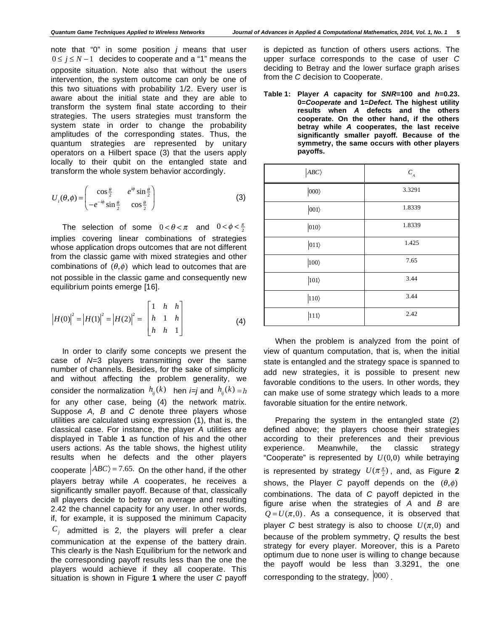note that "0" in some position *j* means that user  $0 \le j \le N-1$  decides to cooperate and a "1" means the opposite situation. Note also that without the users intervention, the system outcome can only be one of this two situations with probability 1/2. Every user is aware about the initial state and they are able to transform the system final state according to their strategies. The users strategies must transform the system state in order to change the probability amplitudes of the corresponding states. Thus, the quantum strategies are represented by unitary operators on a Hilbert space (3) that the users apply locally to their qubit on the entangled state and transform the whole system behavior accordingly.

$$
U_i(\theta, \phi) = \begin{pmatrix} \cos\frac{\theta}{2} & e^{i\phi}\sin\frac{\theta}{2} \\ -e^{-i\phi}\sin\frac{\theta}{2} & \cos\frac{\theta}{2} \end{pmatrix}
$$
 (3)

The selection of some  $0 < \theta < \pi$  and  $0 < \phi < \frac{\pi}{2}$ implies covering linear combinations of strategies whose application drops outcomes that are not different from the classic game with mixed strategies and other combinations of  $(\theta, \phi)$  which lead to outcomes that are not possible in the classic game and consequently new equilibrium points emerge [16].

$$
|H(0)|^2 = |H(1)|^2 = |H(2)|^2 = \begin{bmatrix} 1 & h & h \\ h & 1 & h \\ h & h & 1 \end{bmatrix}
$$
 (4)

In order to clarify some concepts we present the case of *N*=3 players transmitting over the same number of channels. Besides, for the sake of simplicity and without affecting the problem generality, we consider the normalization  $h_{ii}(k)$  hen *i=j* and  $h_{ii}(k) = h$ for any other case, being (4) the network matrix. Suppose *A, B* and *C* denote three players whose utilities are calculated using expression (1), that is, the classical case. For instance, the player *A* utilities are displayed in Table **1** as function of his and the other users actions. As the table shows, the highest utility results when he defects and the other players cooperate  $\ket{ABC}$  = 7.65. On the other hand, if the other players betray while *A* cooperates, he receives a significantly smaller payoff. Because of that, classically all players decide to betray on average and resulting 2.42 the channel capacity for any user. In other words, if, for example, it is supposed the minimum Capacity  $C_i$  admitted is 2, the players will prefer a clear communication at the expense of the battery drain. This clearly is the Nash Equilibrium for the network and the corresponding payoff results less than the one the players would achieve if they all cooperate. This situation is shown in Figure **1** where the user *C* payoff

is depicted as function of others users actions. The upper surface corresponds to the case of user *C* deciding to Betray and the lower surface graph arises from the *C* decision to Cooperate.

**Table 1: Player** *A* **capacity for** *SNR***=100 and** *h***=0.23. 0=***Cooperate* **and 1=***Defect***. The highest utility results when** *A* **defects and the others cooperate. On the other hand, if the others betray while** *A* **cooperates, the last receive significantly smaller payoff. Because of the symmetry, the same occurs with other players payoffs.** 

| $\langle ABC \rangle$ | $C_{\scriptscriptstyle A}$ |
|-----------------------|----------------------------|
| $ 000\rangle$         | 3.3291                     |
| $ 001\rangle$         | 1.8339                     |
| $ 010\rangle$         | 1.8339                     |
| $ 011\rangle$         | 1.425                      |
| $\ket{100}$           | 7.65                       |
| $ 101\rangle$         | 3.44                       |
| $ 110\rangle$         | 3.44                       |
| $111\rangle$          | 2.42                       |

When the problem is analyzed from the point of view of quantum computation, that is, when the initial state is entangled and the strategy space is spanned to add new strategies, it is possible to present new favorable conditions to the users. In other words, they can make use of some strategy which leads to a more favorable situation for the entire network.

Preparing the system in the entangled state (2) defined above; the players choose their strategies according to their preferences and their previous experience. Meanwhile, the classic strategy "Cooperate" is represented by  $U(0,0)$  while betraying is represented by strategy  $U(\pi \frac{\pi}{2})$ , and, as Figure 2 shows, the Player C payoff depends on the  $(\theta, \phi)$ combinations. The data of *C* payoff depicted in the figure arise when the strategies of *A* and *B* are  $Q = U(\pi,0)$ . As a consequence, it is observed that player *C* best strategy is also to choose  $U(\pi,0)$  and because of the problem symmetry, *Q* results the best strategy for every player. Moreover, this is a Pareto optimum due to none user is willing to change because the payoff would be less than 3.3291, the one corresponding to the strategy,  $|000\rangle$ .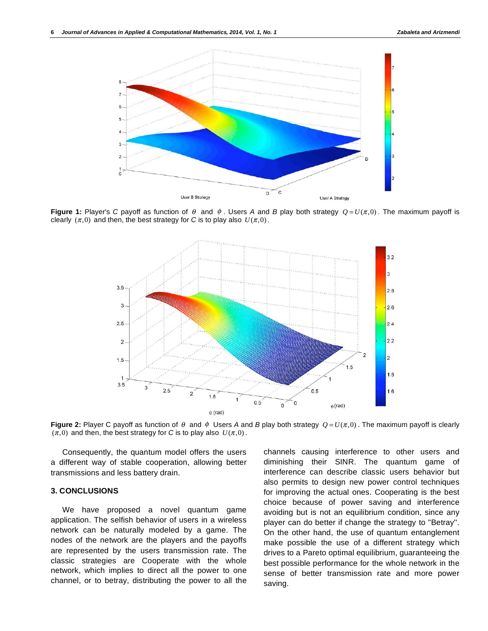

**Figure 1:** Player's C payoff as function of  $\theta$  and  $\phi$ . Users A and B play both strategy  $O = U(\pi,0)$ . The maximum payoff is clearly  $(\pi,0)$  and then, the best strategy for *C* is to play also  $U(\pi,0)$ .



**Figure 2:** Player C payoff as function of  $\theta$  and  $\phi$  Users *A* and *B* play both strategy  $Q = U(\pi,0)$ . The maximum payoff is clearly  $(\pi,0)$  and then, the best strategy for *C* is to play also  $U(\pi,0)$ .

Consequently, the quantum model offers the users a different way of stable cooperation, allowing better transmissions and less battery drain.

#### **3. CONCLUSIONS**

We have proposed a novel quantum game application. The selfish behavior of users in a wireless network can be naturally modeled by a game. The nodes of the network are the players and the payoffs are represented by the users transmission rate. The classic strategies are Cooperate with the whole network, which implies to direct all the power to one channel, or to betray, distributing the power to all the channels causing interference to other users and diminishing their SINR. The quantum game of interference can describe classic users behavior but also permits to design new power control techniques for improving the actual ones. Cooperating is the best choice because of power saving and interference avoiding but is not an equilibrium condition, since any player can do better if change the strategy to "Betray''. On the other hand, the use of quantum entanglement make possible the use of a different strategy which drives to a Pareto optimal equilibrium, guaranteeing the best possible performance for the whole network in the sense of better transmission rate and more power saving.